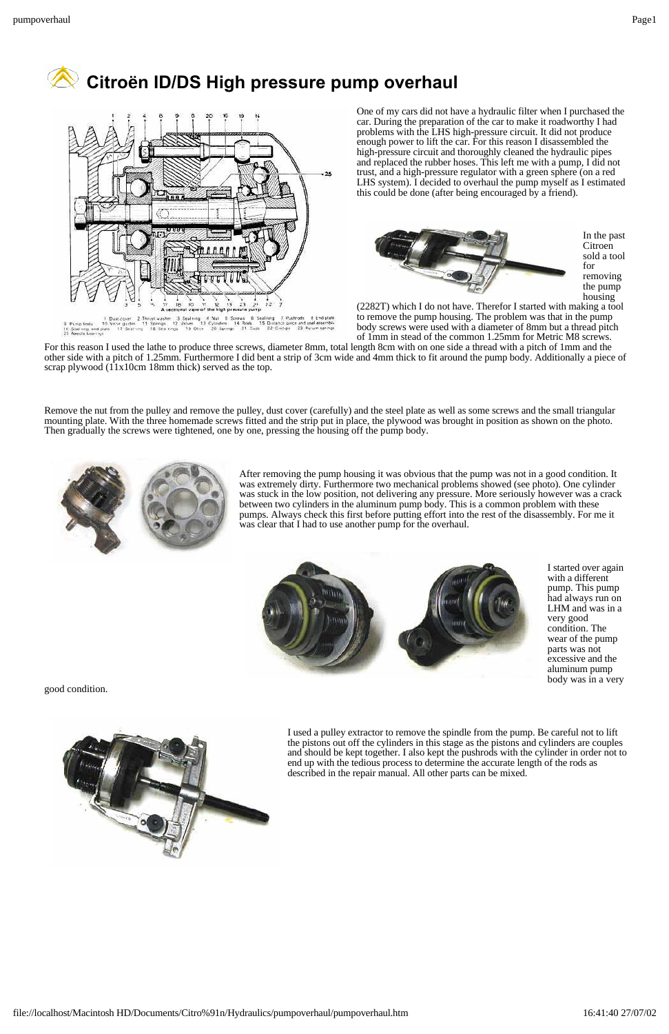



One of my cars did not have a hydraulic filter when I purchased the car. During the preparation of the car to make it roadworthy I had problems with the LHS high-pressure circuit. It did not produce enough power to lift the car. For this reason I disassembled the high-pressure circuit and thoroughly cleaned the hydraulic pipes and replaced the rubber hoses. This left me with a pump, I did not trust, and a high-pressure regulator with a green sphere (on a red LHS system). I decided to overhaul the pump myself as I estimated this could be done (after being encouraged by a friend).



In the past **Citroen** sold a tool removing the pump housing

(2282T) which I do not have. Therefor I started with making a tool to remove the pump housing. The problem was that in the pump body screws were used with a diameter of 8mm but a thread pitch of 1mm in stead of the common 1.25mm for Metric M8 screws.

For this reason I used the lathe to produce three screws, diameter 8mm, total length 8cm with on one side a thread with a pitch of 1mm and the other side with a pitch of 1.25mm. Furthermore I did bent a strip of 3cm wide and 4mm thick to fit around the pump body. Additionally a piece of scrap plywood (11x10cm 18mm thick) served as the top.

Remove the nut from the pulley and remove the pulley, dust cover (carefully) and the steel plate as well as some screws and the small triangular mounting plate. With the three homemade screws fitted and the strip put in place, the plywood was brought in position as shown on the photo. Then gradually the screws were tightened, one by one, pressing the housing off the pump body.



After removing the pump housing it was obvious that the pump was not in a good condition. It was extremely dirty. Furthermore two mechanical problems showed (see photo). One cylinder was stuck in the low position, not delivering any pressure. More seriously however was a crack between two cylinders in the aluminum pump body. This is a common problem with these pumps. Always check this first before putting effort into the rest of the disassembly. For me it was clear that I had to use another pump for the overhaul.



I started over again with a different pump. This pump had always run on LHM and was in a very good condition. The wear of the pump parts was not excessive and the aluminum pump body was in a very

good condition.



I used a pulley extractor to remove the spindle from the pump. Be careful not to lift the pistons out off the cylinders in this stage as the pistons and cylinders are couples and should be kept together. I also kept the pushrods with the cylinder in order not to end up with the tedious process to determine the accurate length of the rods as described in the repair manual. All other parts can be mixed.